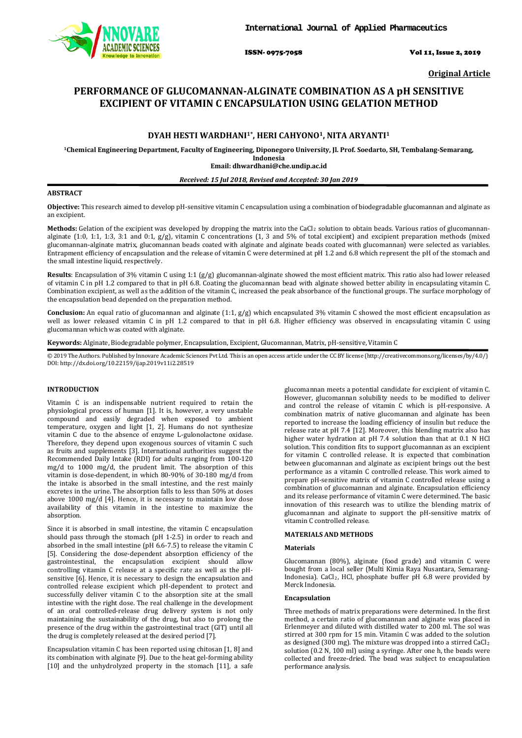

ISSN- 0975-7058 Vol 11, Issue 2, 2019

**Original Article**

# **PERFORMANCE OF GLUCOMANNAN-ALGINATE COMBINATION AS A pH SENSITIVE EXCIPIENT OF VITAMIN C ENCAPSULATION USING GELATION METHOD**

# **DYAH HESTI WARDHANI1\*, HERI CAHYONO1, NITA ARYANTI1**

**1Chemical Engineering Department, Faculty of Engineering, Diponegoro University, Jl. Prof. Soedarto, SH, Tembalang-Semarang, Indonesia**

**Email: dhwardhani@che.undip.ac.id**

## *Received: 15 Jul 2018, Revised and Accepted: 30 Jan 2019*

## **ABSTRACT**

**Objective:** This research aimed to develop pH-sensitive vitamin C encapsulation using a combination of biodegradable glucomannan and alginate as an excipient.

**Methods:** Gelation of the excipient was developed by dropping the matrix into the CaCl 2 solution to obtain beads. Various ratios of glucomannanalginate (1:0, 1:1, 1:3, 3:1 and 0:1, g/g), vitamin C concentrations (1, 3 and 5% of total excipient) and excipient preparation methods (mixed glucomannan-alginate matrix, glucomannan beads coated with alginate and alginate beads coated with glucomannan) were selected as variables. Entrapment efficiency of encapsulation and the release of vitamin C were determined at pH 1.2 and 6.8 which represent the pH of the stomach and the small intestine liquid, respectively.

**Results**: Encapsulation of 3% vitamin C using 1:1 (g/g) glucomannan-alginate showed the most efficient matrix. This ratio also had lower released of vitamin C in pH 1.2 compared to that in pH 6.8. Coating the glucomannan bead with alginate showed better ability in encapsulating vitamin C. Combination excipient, as well as the addition of the vitamin C, increased the peak absorbance of the functional groups. The surface morphology of the encapsulation bead depended on the preparation method.

**Conclusion:** An equal ratio of glucomannan and alginate (1:1, g/g) which encapsulated 3% vitamin C showed the most efficient encapsulation as well as lower released vitamin C in pH 1.2 compared to that in pH 6.8. Higher efficiency was observed in encapsulating vitamin C using glucomannan which was coated with alginate.

**Keywords:** Alginate, Biodegradable polymer, Encapsulation, Excipient, Glucomannan, Matrix, pH-sensitive, Vitamin C

© 2019 The Authors. Published by Innovare Academic Sciences Pvt Ltd. This is an open access article under the CC BY license [\(http://creativecommons.org/licenses/by/4.0/\)](http://creativecommons.org/licenses/by/4.0/) DOI: http://dx.doi.org/10.22159/ijap.2019v11i2.28519

## **INTRODUCTION**

Vitamin C is an indispensable nutrient required to retain the physiological process of human [1]. It is, however, a very unstable compound and easily degraded when exposed to ambient temperature, oxygen and light [1, 2]. Humans do not synthesize vitamin C due to the absence of enzyme L-gulonolactone oxidase. Therefore, they depend upon exogenous sources of vitamin C such as fruits and supplements [3]. International authorities suggest the Recommended Daily Intake (RDI) for adults ranging from 100-120 mg/d to 1000 mg/d, the prudent limit. The absorption of this vitamin is dose-dependent, in which 80-90% of 30-180 mg/d from the intake is absorbed in the small intestine, and the rest mainly excretes in the urine. The absorption falls to less than 50% at doses above 1000 mg/d [4]. Hence, it is necessary to maintain low dose availability of this vitamin in the intestine to maximize the absorption.

Since it is absorbed in small intestine, the vitamin C encapsulation should pass through the stomach (pH 1-2.5) in order to reach and absorbed in the small intestine (pH 6.6-7.5) to release the vitamin C [5]. Considering the dose-dependent absorption efficiency of the gastrointestinal, the encapsulation excipient should allow controlling vitamin C release at a specific rate as well as the pHsensitive [6]. Hence, it is necessary to design the encapsulation and controlled release excipient which pH-dependent to protect and successfully deliver vitamin C to the absorption site at the small intestine with the right dose. The real challenge in the development of an oral controlled-release drug delivery system is not only maintaining the sustainability of the drug, but also to prolong the presence of the drug within the gastrointestinal tract (GIT) until all the drug is completely released at the desired period [7].

Encapsulation vitamin C has been reported using chitosan [1, 8] and its combination with alginate [9]. Due to the heat gel-forming ability [10] and the unhydrolyzed property in the stomach [11], a safe

glucomannan meets a potential candidate for excipient of vitamin C. However, glucomannan solubility needs to be modified to deliver and control the release of vitamin C which is pH-responsive. A combination matrix of native glucomannan and alginate has been reported to increase the loading efficiency of insulin but reduce the release rate at pH 7.4 [12]. Moreover, this blending matrix also has higher water hydration at pH 7.4 solution than that at 0.1 N HCl solution. This condition fits to support glucomannan as an excipient for vitamin C controlled release. It is expected that combination between glucomannan and alginate as excipient brings out the best performance as a vitamin C controlled release. This work aimed to prepare pH-sensitive matrix of vitamin C controlled release using a combination of glucomannan and alginate. Encapsulation efficiency and its release performance of vitamin C were determined. The basic innovation of this research was to utilize the blending matrix of glucomannan and alginate to support the pH-sensitive matrix of vitamin C controlled release.

# **MATERIALS AND METHODS**

## **Materials**

Glucomannan (80%), alginate (food grade) and vitamin C were bought from a local seller (Multi Kimia Raya Nusantara, Semarang-Indonesia). CaCl2 , HCl, phosphate buffer pH 6.8 were provided by Merck Indonesia.

## **Encapsulation**

Three methods of matrix preparations were determined. In the first method, a certain ratio of glucomannan and alginate was placed in Erlenmeyer and diluted with distilled water to 200 ml. The sol was stirred at 300 rpm for 15 min. Vitamin C was added to the solution as designed (300 mg). The mixture was dropped into a stirred CaCl 2 solution (0.2 N, 100 ml) using a syringe. After one h, the beads were collected and freeze-dried. The bead was subject to encapsulation performance analysis.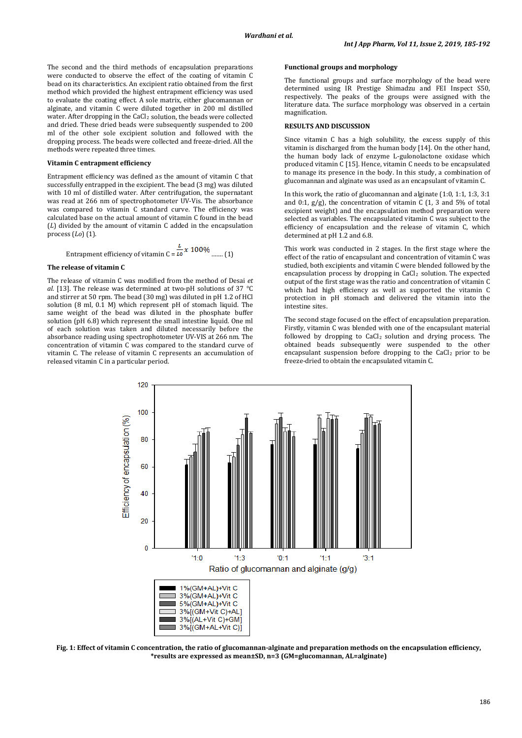The second and the third methods of encapsulation preparations were conducted to observe the effect of the coating of vitamin C bead on its characteristics. An excipient ratio obtained from the first method which provided the highest entrapment efficiency was used to evaluate the coating effect. A sole matrix, either glucomannan or alginate, and vitamin C were diluted together in 200 ml distilled water. After dropping in the CaCl<sub>2</sub> solution, the beads were collected and dried. These dried beads were subsequently suspended to 200 ml of the other sole excipient solution and followed with the dropping process. The beads were collected and freeze-dried. All the methods were repeated three times.

#### **Vitamin C entrapment efficiency**

Entrapment efficiency was defined as the amount of vitamin C that successfully entrapped in the excipient. The bead (3 mg) was diluted with 10 ml of distilled water. After centrifugation, the supernatant was read at 266 nm of spectrophotometer UV-Vis. The absorbance was compared to vitamin C standard curve. The efficiency was calculated base on the actual amount of vitamin C found in the bead (*L*) divided by the amount of vitamin C added in the encapsulation process (*Lo*) (1).

$$
Entrapment efficiency of vitamin C = \frac{L}{LQ} x 100\% \dots (1)
$$

#### **The release of vitamin C**

The release of vitamin C was modified from the method of Desai *et al.* [13]. The release was determined at two-pH solutions of 37 °C and stirrer at 50 rpm. The bead (30 mg) was diluted in pH 1.2 of HCl solution (8 ml, 0.1 M) which represent pH of stomach liquid. The same weight of the bead was diluted in the phosphate buffer solution (pH 6.8) which represent the small intestine liquid. One ml of each solution was taken and diluted necessarily before the absorbance reading using spectrophotometer UV-VIS at 266 nm. The concentration of vitamin C was compared to the standard curve of vitamin C. The release of vitamin C represents an accumulation of released vitamin C in a particular period.

#### **Functional groups and morphology**

The functional groups and surface morphology of the bead were determined using IR Prestige Shimadzu and FEI Inspect S50, respectively. The peaks of the groups were assigned with the literature data. The surface morphology was observed in a certain magnification.

## **RESULTS AND DISCUSSION**

Since vitamin C has a high solubility, the excess supply of this vitamin is discharged from the human body [14]. On the other hand, the human body lack of enzyme L-gulonolactone oxidase which produced vitamin C [15]. Hence, vitamin C needs to be encapsulated to manage its presence in the body. In this study, a combination of glucomannan and alginate was used as an encapsulant of vitamin C.

In this work, the ratio of glucomannan and alginate (1:0, 1:1, 1:3, 3:1 and 0:1, g/g), the concentration of vitamin C (1, 3 and 5% of total excipient weight) and the encapsulation method preparation were selected as variables. The encapsulated vitamin C was subject to the efficiency of encapsulation and the release of vitamin C, which determined at pH 1.2 and 6.8.

This work was conducted in 2 stages. In the first stage where the effect of the ratio of encapsulant and concentration of vitamin C was studied, both excipients and vitamin C were blended followed by the encapsulation process by dropping in CaCl<sub>2</sub> solution. The expected output of the first stage was the ratio and concentration of vitamin C which had high efficiency as well as supported the vitamin C protection in pH stomach and delivered the vitamin into the intestine sites.

The second stage focused on the effect of encapsulation preparation. Firstly, vitamin C was blended with one of the encapsulant material followed by dropping to CaCl <sup>2</sup> solution and drying process. The obtained beads subsequently were suspended to the other encapsulant suspension before dropping to the CaCl<sub>2</sub> prior to be freeze-dried to obtain the encapsulated vitamin C.



**Fig. 1: Effect of vitamin C concentration, the ratio of glucomannan-alginate and preparation methods on the encapsulation efficiency, \*results are expressed as mean±SD, n=3 (GM=glucomannan, AL=alginate)**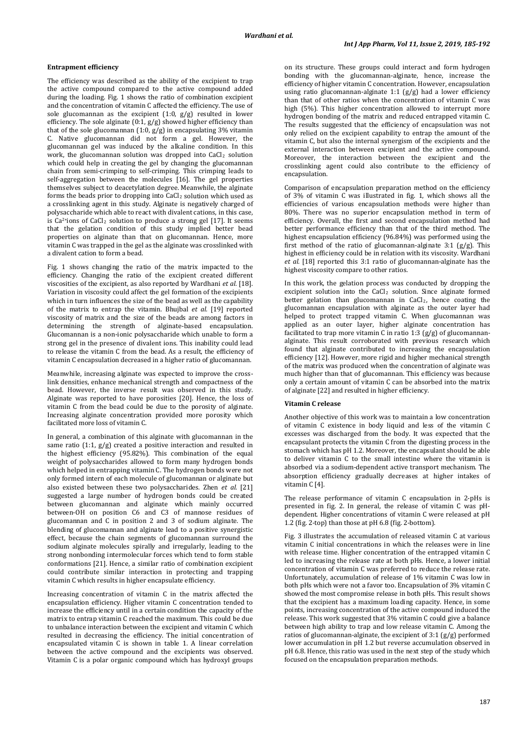#### **Entrapment efficiency**

The efficiency was described as the ability of the excipient to trap the active compound compared to the active compound added during the loading. Fig. 1 shows the ratio of combination excipient and the concentration of vitamin C affected the efficiency. The use of sole glucomannan as the excipient (1:0, g/g) resulted in lower efficiency. The sole alginate  $(0:1, g/g)$  showed higher efficiency than that of the sole glucomannan  $(1:0, g/g)$  in encapsulating 3% vitamin C. Native glucomannan did not form a gel. However, the glucomannan gel was induced by the alkaline condition. In this work, the glucomannan solution was dropped into CaCl<sub>2</sub> solution which could help in creating the gel by changing the glucomannan chain from semi-crimping to self-crimping. This crimping leads to self-aggregation between the molecules [16]. The gel properties themselves subject to deacetylation degree. Meanwhile, the alginate forms the beads prior to dropping into CaCl<sub>2</sub> solution which used as a crosslinking agent in this study. Alginate is negatively charged of polysaccharide which able to react with divalent cations, in this case, is Ca<sup>2+</sup>ions of CaCl<sub>2</sub> solution to produce a strong gel [17]. It seems that the gelation condition of this study implied better bead properties on alginate than that on glucomannan. Hence, more vitamin C was trapped in the gel as the alginate was crosslinked with a divalent cation to form a bead.

Fig. 1 shows changing the ratio of the matrix impacted to the efficiency. Changing the ratio of the excipient created different viscosities of the excipient, as also reported by Wardhani *et al.* [18]. Variation in viscosity could affect the gel formation of the excipients which in turn influences the size of the bead as well as the capability of the matrix to entrap the vitamin. Bhujbal *et al.* [19] reported viscosity of matrix and the size of the beads are among factors in determining the strength of alginate-based encapsulation. Glucomannan is a non-ionic polysaccharide which unable to form a strong gel in the presence of divalent ions. This inability could lead to release the vitamin C from the bead. As a result, the efficiency of vitamin C encapsulation decreased in a higher ratio of glucomannan.

Meanwhile, increasing alginate was expected to improve the crosslink densities, enhance mechanical strength and compactness of the bead. However, the inverse result was observed in this study. Alginate was reported to have porosities [20]. Hence, the loss of vitamin C from the bead could be due to the porosity of alginate. Increasing alginate concentration provided more porosity which facilitated more loss of vitamin C.

In general, a combination of this alginate with glucomannan in the same ratio (1:1, g/g) created a positive interaction and resulted in the highest efficiency (95.82%). This combination of the equal weight of polysaccharides allowed to form many hydrogen bonds which helped in entrapping vitamin C. The hydrogen bonds were not only formed intern of each molecule of glucomannan or alginate but also existed between these two polysaccharides. Zhen *et al.* [21] suggested a large number of hydrogen bonds could be created between glucomannan and alginate which mainly occurred between-OH on position C6 and C3 of mannose residues of glucomannan and C in position 2 and 3 of sodium alginate. The blending of glucomannan and alginate lead to a positive synergistic effect, because the chain segments of glucomannan surround the sodium alginate molecules spirally and irregularly, leading to the strong nonbonding intermolecular forces which tend to form stable conformations [21]. Hence, a similar ratio of combination excipient could contribute similar interaction in protecting and trapping vitamin C which results in higher encapsulate efficiency.

Increasing concentration of vitamin C in the matrix affected the encapsulation efficiency. Higher vitamin C concentration tended to increase the efficiency until in a certain condition the capacity of the matrix to entrap vitamin C reached the maximum. This could be due to unbalance interaction between the excipient and vitamin C which resulted in decreasing the efficiency. The initial concentration of encapsulated vitamin C is shown in table 1. A linear correlation between the active compound and the excipients was observed. Vitamin C is a polar organic compound which has hydroxyl groups

on its structure. These groups could interact and form hydrogen bonding with the glucomannan-alginate, hence, increase the efficiency of higher vitamin C concentration. However, encapsulation using ratio glucomannan-alginate 1:1 (g/g) had a lower efficiency than that of other ratios when the concentration of vitamin C was high (5%). This higher concentration allowed to interrupt more hydrogen bonding of the matrix and reduced entrapped vitamin C. The results suggested that the efficiency of encapsulation was not only relied on the excipient capability to entrap the amount of the vitamin C, but also the internal synergism of the excipients and the external interaction between excipient and the active compound. Moreover, the interaction between the excipient and the crosslinking agent could also contribute to the efficiency of encapsulation.

Comparison of encapsulation preparation method on the efficiency of 3% of vitamin C was illustrated in fig. 1, which shows all the efficiencies of various encapsulation methods were higher than 80%. There was no superior encapsulation method in term of efficiency. Overall, the first and second encapsulation method had better performance efficiency than that of the third method. The highest encapsulation efficiency (96.84%) was performed using the first method of the ratio of glucomannan-alginate  $3:1$  (g/g). This highest in efficiency could be in relation with its viscosity. Wardhani *et al.* [18] reported this 3:1 ratio of glucomannan-alginate has the highest viscosity compare to other ratios.

In this work, the gelation process was conducted by dropping the excipient solution into the CaCl <sup>2</sup> solution. Since alginate formed better gelation than glucomannan in CaCl<sub>2</sub>, hence coating the glucomannan encapsulation with alginate as the outer layer had helped to protect trapped vitamin C. When glucomannan was applied as an outer layer, higher alginate concentration has facilitated to trap more vitamin C in ratio 1:3  $(g/g)$  of glucomannanalginate. This result corroborated with previous research which found that alginate contributed to increasing the encapsulation efficiency [12]. However, more rigid and higher mechanical strength of the matrix was produced when the concentration of alginate was much higher than that of glucomannan. This efficiency was because only a certain amount of vitamin C can be absorbed into the matrix of alginate [22] and resulted in higher efficiency.

#### **Vitamin C release**

Another objective of this work was to maintain a low concentration of vitamin C existence in body liquid and less of the vitamin C excesses was discharged from the body. It was expected that the encapsulant protects the vitamin C from the digesting process in the stomach which has pH 1.2. Moreover, the encapsulant should be able to deliver vitamin C to the small intestine where the vitamin is absorbed via a sodium-dependent active transport mechanism. The absorption efficiency gradually decreases at higher intakes of vitamin C [4].

The release performance of vitamin C encapsulation in 2-pHs is presented in fig. 2. In general, the release of vitamin C was pHdependent. Higher concentrations of vitamin C were released at pH 1.2 (fig. 2-top) than those at pH 6.8 (fig. 2-bottom).

Fig. 3 illustrates the accumulation of released vitamin C at various vitamin C initial concentrations in which the releases were in line with release time. Higher concentration of the entrapped vitamin C led to increasing the release rate at both pHs. Hence, a lower initial concentration of vitamin C was preferred to reduce the release rate. Unfortunately, accumulation of release of 1% vitamin C was low in both pHs which were not a favor too. Encapsulation of 3% vitamin C showed the most compromise release in both pHs. This result shows that the excipient has a maximum loading capacity. Hence, in some points, increasing concentration of the active compound induced the release. This work suggested that 3% vitamin C could give a balance between high ability to trap and low release vitamin C. Among the ratios of glucomannan-alginate, the excipient of 3:1 (g/g) performed lower accumulation in pH 1.2 but reverse accumulation observed in pH 6.8. Hence, this ratio was used in the next step of the study which focused on the encapsulation preparation methods.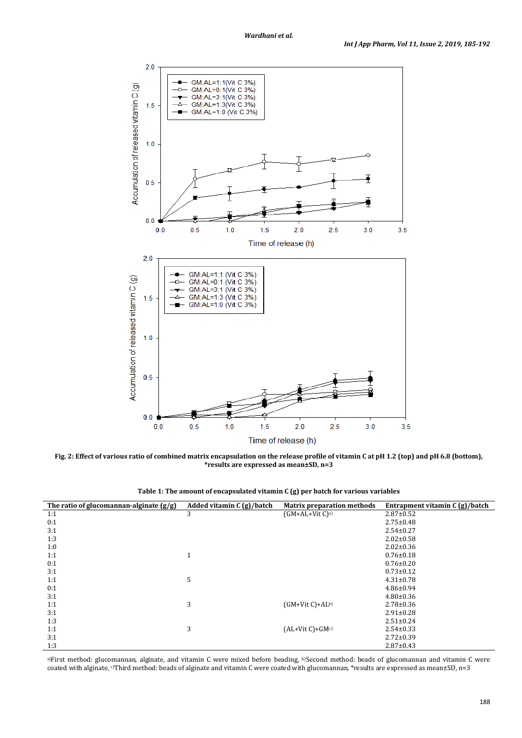

**Fig. 2: Effect of various ratio of combined matrix encapsulation on the release profile of vitamin C at pH 1.2 (top) and pH 6.8 (bottom), \*results are expressed as mean±SD, n=3**

| Table 1: The amount of encapsulated vitamin C (g) per batch for various variables |  |
|-----------------------------------------------------------------------------------|--|
|-----------------------------------------------------------------------------------|--|

| The ratio of glucomannan-alginate $(g/g)$ | Added vitamin $C(g)/batch$ | <b>Matrix preparation methods</b> | Entrapment vitamin C (g)/batch |
|-------------------------------------------|----------------------------|-----------------------------------|--------------------------------|
| 1:1                                       | 3                          | $(GM+AL+Vit C)a$                  | $2.87 \pm 0.52$                |
| 0:1                                       |                            |                                   | $2.75 \pm 0.48$                |
| 3:1                                       |                            |                                   | $2.54 \pm 0.27$                |
| 1:3                                       |                            |                                   | $2.02 \pm 0.58$                |
| 1:0                                       |                            |                                   | $2.02 \pm 0.36$                |
| 1:1                                       | $\blacktriangleleft$<br>Τ. |                                   | $0.76 \pm 0.18$                |
| 0:1                                       |                            |                                   | $0.76 \pm 0.20$                |
| 3:1                                       |                            |                                   | $0.73 \pm 0.12$                |
| 1:1                                       | 5                          |                                   | $4.31 \pm 0.78$                |
| 0:1                                       |                            |                                   | $4.86 \pm 0.94$                |
| 3:1                                       |                            |                                   | $4.80 \pm 0.36$                |
| 1:1                                       | 3                          | $(GM+Vit C)+AL^{b}$               | $2.78 \pm 0.36$                |
| 3:1                                       |                            |                                   | $2.91 \pm 0.28$                |
| 1:3                                       |                            |                                   | $2.51 \pm 0.24$                |
| 1:1                                       | 3                          | $(AL+Vit C)+GMc$                  | $2.54 \pm 0.33$                |
| 3:1                                       |                            |                                   | $2.72 \pm 0.39$                |
| 1:3                                       |                            |                                   | $2.87 \pm 0.43$                |

a)First method: glucomannan, alginate, and vitamin C were mixed before beading, b)Second method: beads of glucomannan and vitamin C were coated with alginate, <sup>c</sup>)Third method: beads of alginate and vitamin C were coated with glucomannan, \*results are expressed as mean±SD, n=3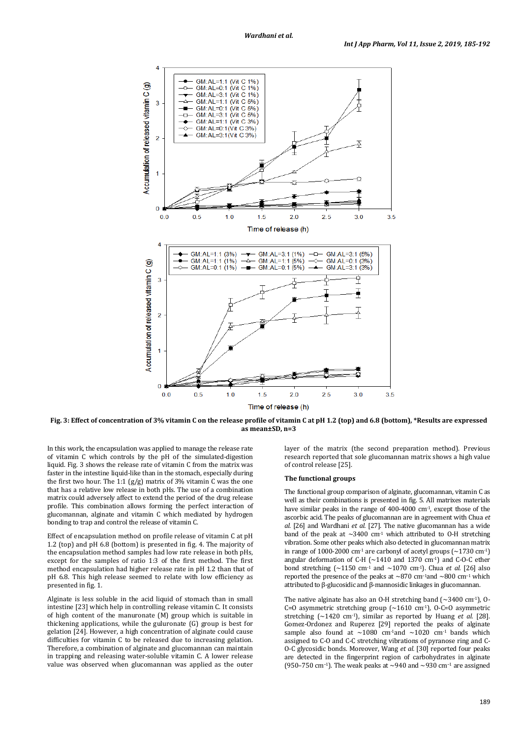

**Fig. 3: Effect of concentration of 3% vitamin C on the release profile of vitamin C at pH 1.2 (top) and 6.8 (bottom), \*Results are expressed as mean±SD, n=3**

In this work, the encapsulation was applied to manage the release rate of vitamin C which controls by the pH of the simulated-digestion liquid. Fig. 3 shows the release rate of vitamin C from the matrix was faster in the intestine liquid-like than in the stomach, especially during the first two hour. The 1:1 (g/g) matrix of 3% vitamin C was the one that has a relative low release in both pHs. The use of a combination matrix could adversely affect to extend the period of the drug release profile. This combination allows forming the perfect interaction of glucomannan, alginate and vitamin C which mediated by hydrogen bonding to trap and control the release of vitamin C.

Effect of encapsulation method on profile release of vitamin C at pH 1.2 (top) and pH 6.8 (bottom) is presented in fig. 4. The majority of the encapsulation method samples had low rate release in both pHs, except for the samples of ratio 1:3 of the first method. The first method encapsulation had higher release rate in pH 1.2 than that of pH 6.8. This high release seemed to relate with low efficiency as presented in fig. 1.

Alginate is less soluble in the acid liquid of stomach than in small intestine [23] which help in controlling release vitamin C. It consists of high content of the manuronate (M) group which is suitable in thickening applications, while the guluronate (G) group is best for gelation [24]. However, a high concentration of alginate could cause difficulties for vitamin C to be released due to increasing gelation. Therefore, a combination of alginate and glucomannan can maintain in trapping and releasing water-soluble vitamin C. A lower release value was observed when glucomannan was applied as the outer

layer of the matrix (the second preparation method). Previous research reported that sole glucomannan matrix shows a high value of control release [25].

#### **The functional groups**

The functional group comparison of alginate, glucomannan, vitamin C as well as their combinations is presented in fig. 5. All matrixes materials have similar peaks in the range of 400-4000 cm-1, except those of the ascorbic acid. The peaks of glucomannan are in agreement with Chua *et al.* [26] and Wardhani *et al.* [27]. The native glucomannan has a wide band of the peak at  $\sim$ 3400 cm<sup>-1</sup> which attributed to 0-H stretching vibration. Some other peaks which also detected in glucomannan matrix in range of 1000-2000 cm<sup>-1</sup> are carbonyl of acetyl groups ( $\sim$ 1730 cm<sup>-1</sup>) angular deformation of C-H ( $\sim$ 1410 and 1370 cm<sup>-1</sup>) and C-O-C ether bond stretching  $\left[\sim 1150 \text{ cm}^{-1} \text{ and } \sim 1070 \text{ cm}^{-1}\right]$ . Chua *et al.* [26] also reported the presence of the peaks at ∼870 cm<sup>−</sup>1and ∼800 cm<sup>−</sup><sup>1</sup> which attributed to β-glucosidic and β-mannosidic linkages in glucomannan.

The native alginate has also an O-H stretching band  $(\sim]3400 \text{ cm}^{-1}$ ), O-C=O asymmetric stretching group  $({\sim}1610 \text{ cm}^{-1})$ , O-C=O asymmetric stretching (~1420 cm-1), similar as reported by Huang *et al.* [28]. Gomez-Ordonez and Ruperez [29] reported the peaks of alginate sample also found at  $\sim 1080$  cm<sup>-1</sup>and  $\sim 1020$  cm<sup>-1</sup> bands which assigned to C-O and C-C stretching vibrations of pyranose ring and C-O-C glycosidic bonds. Moreover, Wang *et al.* [30] reported four peaks are detected in the fingerprint region of carbohydrates in alginate (950–750 cm<sup>−</sup>1). The weak peaks at ~940 and ~930 cm−<sup>1</sup> are assigned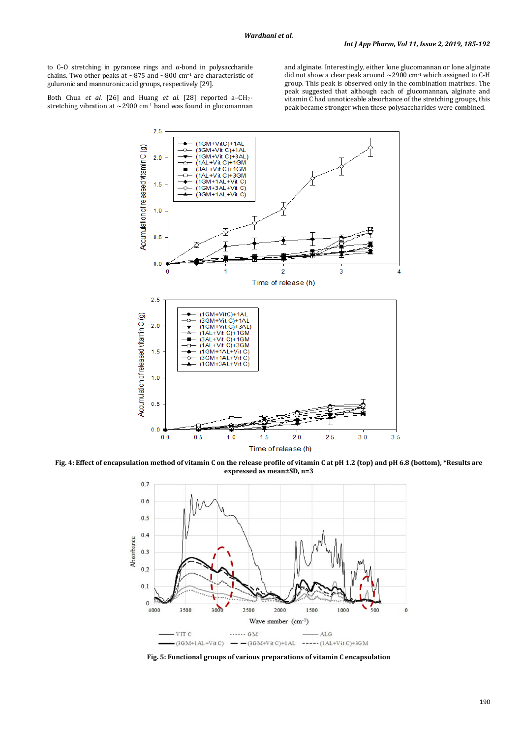to C–O stretching in pyranose rings and α-bond in polysaccharide chains. Two other peaks at ~875 and ~800 cm<sup>−</sup><sup>1</sup> are characteristic of guluronic and mannuronic acid groups, respectively [29].

Both Chua *et al.* [26] and Huang *et al.* [28] reported a–CH 2-

stretching vibration at  $\sim$  2900 cm<sup>-1</sup> band was found in glucomannan

and alginate. Interestingly, either lone glucomannan or lone alginate did not show a clear peak around  $\sim$  2900 cm<sup>-1</sup> which assigned to C-H group. This peak is observed only in the combination matrixes. The peak suggested that although each of glucomannan, alginate and vitamin C had unnoticeable absorbance of the stretching groups, this peak became stronger when these polysaccharides were combined.

 $2.5$ (1GM+VitC)+1AL Accumulation of released vitamin C (g) 3GM+Vit C)+1AL<br>1GM+Vit C)+3AL)<br>1AL+Vit C)+1GM  $2.0$ ("ALE: UN O): TOM<br>(3AL+Vit C)+1GM<br>(1AL+Vit C)+3GM (1GM+1AL+Vit C)<br>(1GM+1AL+Vit C)  $1.5$ 3GM+1AL+Vit C)  $1.0$  $0.5$  $0.0$  $\mathbf 0$  $\overline{2}$  $\overline{3}$ 4 Time of release (h)  $2.5$  $(1GM+VitC)+1AL$ Accumulation of released vitamin C (g) (19M+VIC)+1AL<br>(1GM+Vit C)+1AL<br>(1GM+Vit C)+3AL)<br>(1AL+Vit C)+1GM  $2.0$ (1742 - 1761 - 1761 - 1761 - 1761 - 1761 - 1761 - 1761 - 1762 - 1764 - 1764 - 1764 - 1765 - 1766 - 1<br>(1764 - 1765 - 1767 - 1768 - 1767 - 1768 - 1769 - 1764 - 1765 - 1766 - 1766 - 1766 - 1766 - 1766 - 1766 - 176  $1.5$ 1GM+1AL+Vit C) 3GM+1AL+Vit C 1GM+3AL+Vit C)  $1.0$  $0.5$  $0<sub>0</sub>$  $1.5$  $2.0$  $2.5$  $3.0$  $3.5$  $0.0$  $0.5$  $1.0$ Time of release (h)

**Fig. 4: Effect of encapsulation method of vitamin C on the release profile of vitamin C at pH 1.2 (top) and pH 6.8 (bottom), \*Results are expressed as mean±SD, n=3**



**Fig. 5: Functional groups of various preparations of vitamin C encapsulation**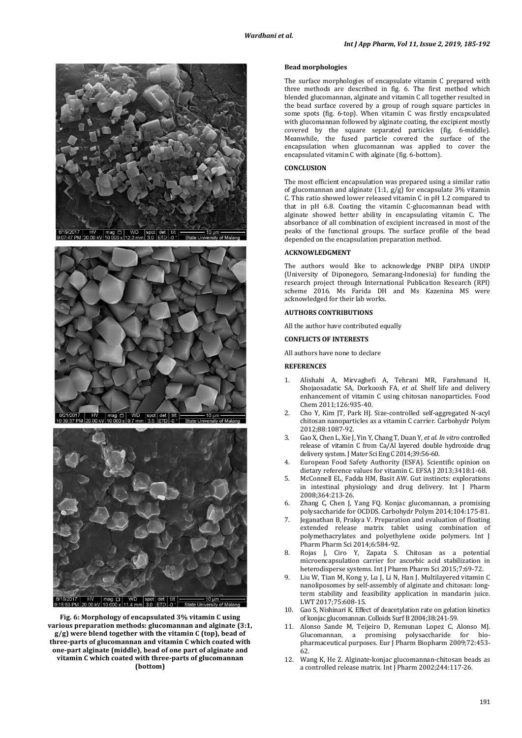





**Fig. 6: Morphology of encapsulated 3% vitamin C using various preparation methods: glucomannan and alginate (3:1, g/g) were blend together with the vitamin C (top), bead of three-parts of glucomannan and vitamin C which coated with one-part alginate (middle), bead of one part of alginate and vitamin C which coated with three-parts of glucomannan (bottom)**

#### **Bead morphologies**

The surface morphologies of encapsulate vitamin C prepared with three methods are described in fig. 6. The first method which blended glucomannan, alginate and vitamin C all together resulted in the bead surface covered by a group of rough square particles in some spots (fig. 6-top). When vitamin C was firstly encapsulated with glucomannan followed by alginate coating, the excipient mostly covered by the square separated particles (fig. 6-middle). Meanwhile, the fused particle covered the surface of the encapsulation when glucomannan was applied to cover the encapsulated vitamin C with alginate (fig. 6-bottom).

# **CONCLUSION**

The most efficient encapsulation was prepared using a similar ratio of glucomannan and alginate  $(1:1, g/g)$  for encapsulate 3% vitamin C. This ratio showed lower released vitamin C in pH 1.2 compared to that in pH 6.8. Coating the vitamin C-glucomannan bead with alginate showed better ability in encapsulating vitamin C. The absorbance of all combination of excipient increased in most of the peaks of the functional groups. The surface profile of the bead depended on the encapsulation preparation method.

#### **ACKNOWLEDGMENT**

The authors would like to acknowledge PNBP DIPA UNDIP (University of Diponegoro, Semarang-Indonesia) for funding the research project through International Publication Research (RPI) scheme 2016. Ms Farida DH and Ms Kazenina MS were acknowledged for their lab works.

# **AUTHORS CONTRIBUTIONS**

All the author have contributed equally

## **CONFLICTS OF INTERESTS**

All authors have none to declare

#### **REFERENCES**

- 1. Alishahi A, Mirvaghefi A, Tehrani MR, Farahmand H, Shojaosadatic SA, Dorkoosh FA, *et al.* Shelf life and delivery enhancement of vitamin C using chitosan nanoparticles. Food Chem 2011;126:935-40.
- 2. Cho Y, Kim JT, Park HJ. Size-controlled self-aggregated N-acyl chitosan nanoparticles as a vitamin C carrier. Carbohydr Polym 2012;88:1087-92.
- 3. Gao X, Chen L, Xie J, Yin Y, Chang T, Duan Y, *et al. In vitro* controlled release of vitamin C from Ca/Al layered double hydroxide drug delivery system. J Mater Sci Eng C 2014;39:56-60.
- 4. European Food Safety Authority (ESFA). Scientific opinion on dietary reference values for vitamin C. EFSA J 2013;3418:1-68.
- 5. McConnell EL, Fadda HM, Basit AW. Gut instincts: explorations in intestinal physiology and drug delivery. Int J Pharm 2008;364:213-26.
- 6. Zhang C, Chen J, Yang FQ. Konjac glucomannan, a promising polysaccharide for OCDDS. Carbohydr Polym 2014;104:175-81.
- 7. Jeganathan B, Prakya V. Preparation and evaluation of floating extended release matrix tablet using combination of polymethacrylates and polyethylene oxide polymers. Int J Pharm Pharm Sci 2014;6:584-92.
- 8. Rojas J, Ciro Y, Zapata S. Chitosan as a potential microencapsulation carrier for ascorbic acid stabilization in heterodisperse systems. Int J Pharm Pharm Sci 2015;7:69-72.
- 9. [Liu](https://www.sciencedirect.com/science/article/pii/S0023643816306053#!) W, Tian M, Kong y, Lu J, Li N, Han J. Multilayered vitamin C nanoliposomes by self-assembly of alginate and chitosan: longterm stability and feasibility application in mandarin juice. [LWT](https://www.sciencedirect.com/science/journal/00236438) 2017;75:608-15.
- 10. Gao S, Nishinari K. Effect of deacetylation rate on gelation kinetics of konjac glucomannan. Colloids Surf B 2004;38:241-59.
- 11. Alonso Sande M, Teijeiro D, Remunan Lopez C, Alonso MJ. Glucomannan, a promising polysaccharide for biopharmaceutical purposes. Eur J Pharm Biopharm 2009;72:453- 62.
- 12. Wang K, He Z. Alginate-konjac glucomannan-chitosan beads as a controlled release matrix. Int J Pharm 2002;244:117-26.